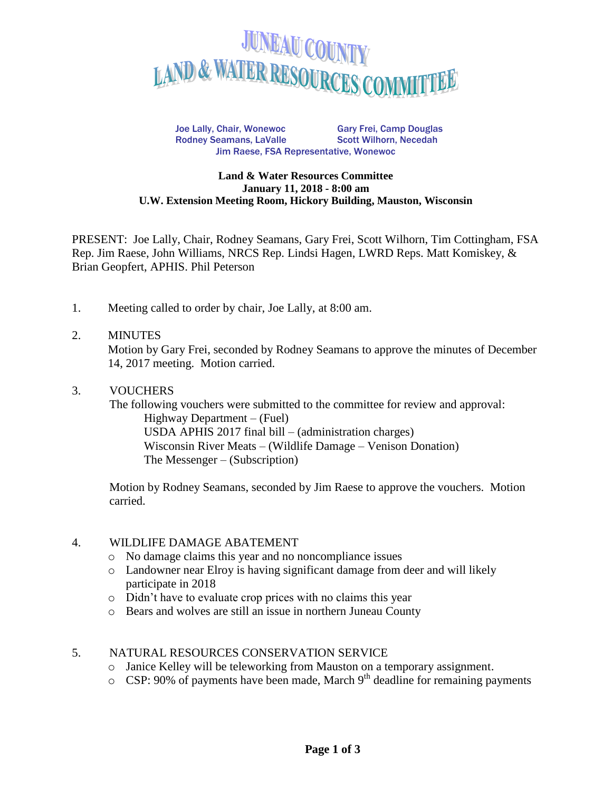

Joe Lally, Chair, Wonewoc Gary Frei, Camp Douglas Rodney Seamans, LaValle Scott Wilhorn, Necedah Jim Raese, FSA Representative, Wonewoc

#### **Land & Water Resources Committee January 11, 2018 - 8:00 am U.W. Extension Meeting Room, Hickory Building, Mauston, Wisconsin**

PRESENT: Joe Lally, Chair, Rodney Seamans, Gary Frei, Scott Wilhorn, Tim Cottingham, FSA Rep. Jim Raese, John Williams, NRCS Rep. Lindsi Hagen, LWRD Reps. Matt Komiskey, & Brian Geopfert, APHIS. Phil Peterson

1. Meeting called to order by chair, Joe Lally, at 8:00 am.

#### 2. MINUTES

Motion by Gary Frei, seconded by Rodney Seamans to approve the minutes of December 14, 2017 meeting. Motion carried.

#### 3. VOUCHERS

The following vouchers were submitted to the committee for review and approval: Highway Department – (Fuel) USDA APHIS 2017 final bill – (administration charges) Wisconsin River Meats – (Wildlife Damage – Venison Donation) The Messenger – (Subscription)

Motion by Rodney Seamans, seconded by Jim Raese to approve the vouchers. Motion carried.

## 4. WILDLIFE DAMAGE ABATEMENT

- o No damage claims this year and no noncompliance issues
- o Landowner near Elroy is having significant damage from deer and will likely participate in 2018
- o Didn't have to evaluate crop prices with no claims this year
- o Bears and wolves are still an issue in northern Juneau County

## 5. NATURAL RESOURCES CONSERVATION SERVICE

- o Janice Kelley will be teleworking from Mauston on a temporary assignment.
- $\circ$  CSP: 90% of payments have been made, March 9<sup>th</sup> deadline for remaining payments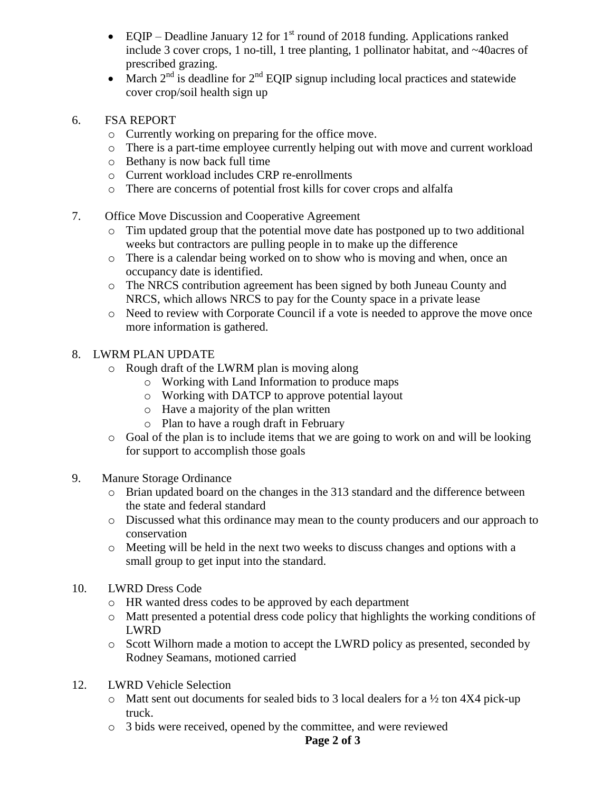- EQIP Deadline January 12 for  $1<sup>st</sup>$  round of 2018 funding. Applications ranked include 3 cover crops, 1 no-till, 1 tree planting, 1 pollinator habitat, and ~40acres of prescribed grazing.
- March  $2^{nd}$  is deadline for  $2^{nd}$  EQIP signup including local practices and statewide cover crop/soil health sign up
- 6. FSA REPORT
	- o Currently working on preparing for the office move.
	- o There is a part-time employee currently helping out with move and current workload
	- o Bethany is now back full time
	- o Current workload includes CRP re-enrollments
	- o There are concerns of potential frost kills for cover crops and alfalfa
- 7. Office Move Discussion and Cooperative Agreement
	- o Tim updated group that the potential move date has postponed up to two additional weeks but contractors are pulling people in to make up the difference
	- o There is a calendar being worked on to show who is moving and when, once an occupancy date is identified.
	- o The NRCS contribution agreement has been signed by both Juneau County and NRCS, which allows NRCS to pay for the County space in a private lease
	- o Need to review with Corporate Council if a vote is needed to approve the move once more information is gathered.

# 8. LWRM PLAN UPDATE

- o Rough draft of the LWRM plan is moving along
	- o Working with Land Information to produce maps
	- o Working with DATCP to approve potential layout
	- o Have a majority of the plan written
	- o Plan to have a rough draft in February
- o Goal of the plan is to include items that we are going to work on and will be looking for support to accomplish those goals
- 9. Manure Storage Ordinance
	- o Brian updated board on the changes in the 313 standard and the difference between the state and federal standard
	- o Discussed what this ordinance may mean to the county producers and our approach to conservation
	- o Meeting will be held in the next two weeks to discuss changes and options with a small group to get input into the standard.
- 10. LWRD Dress Code
	- o HR wanted dress codes to be approved by each department
	- o Matt presented a potential dress code policy that highlights the working conditions of LWRD
	- o Scott Wilhorn made a motion to accept the LWRD policy as presented, seconded by Rodney Seamans, motioned carried
- 12. LWRD Vehicle Selection
	- $\circ$  Matt sent out documents for sealed bids to 3 local dealers for a ½ ton 4X4 pick-up truck.
	- o 3 bids were received, opened by the committee, and were reviewed